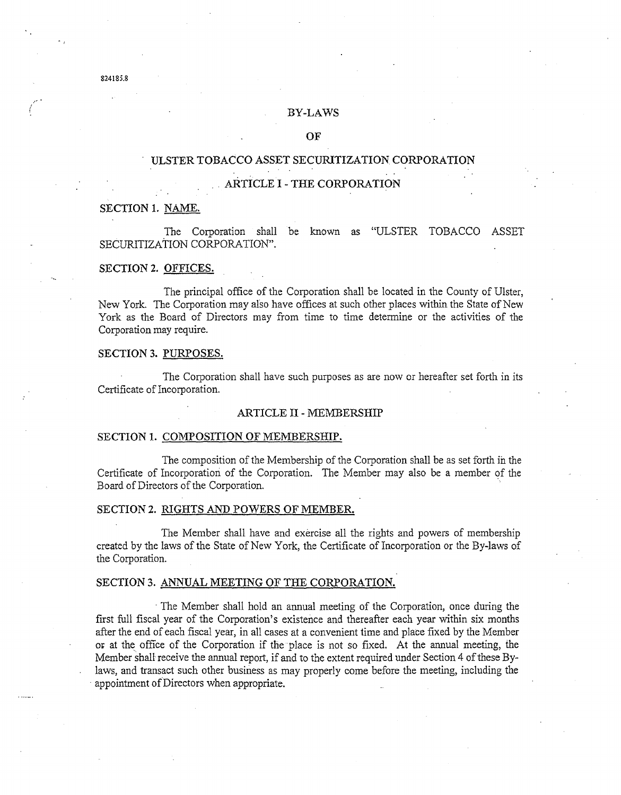#### BY-LAWS

## OF

# ULSTER TOBACCO ASSET SECURITIZATION CORPORATION

## . ARTICLE I - THE CORPORATION

## SECTION 1. NAME.

The Corporation shall be known as "ULSTER TOBACCO ASSET SECURITIZATION CORPORATION".

### SECTION 2. OFFICES.

The principal office of the Corporation shall be located in the County of Ulster, New York. The Corporation may also have offices at such other places within the State of New York as the Board of Directors may from time to time determine or the activities of the Corporation may require.

# SECTION 3. PURPOSES.

The Corporation shall have such purposes as are now or hereafter set forth in its Certificate of Incorporation.

#### ARTICLE II - MEMBERSHIP

### SECTION 1. COMPOSITION OF MEMBERSHIP.

The composition of the Membership of the Corporation shall be as set forth in the Certificate of Incorporation of the Corporation. The Member may also be a member qf the Board of Directors of the Corporation.

### SECTION 2. RIGHTS AND POWERS OF MEMBER.

The Member shall have and exercise all the rights and powers of membership created by the laws of the State of New York, the Certificate of Incorporation or the By-laws of the Corporation.

### SECTION 3. ANNUAL MEETING OF THE CORPORATION.

. The Member shall hold an annual meeting of the Corporation, once during the first full fiscal year of the Corporation's existence and thereafter each year within six months after the end of each fiscal year, in all cases at a convenient time and place fixed by the Member or at the office of the Corporation if the place is not so fixed. At the annual meeting, the Member shall receive the annual report, if and to the extent required under Section 4 of these Bylaws, and transact such other business as may properly come before the meeting, including the . appointment of Directors when appropriate.

.... -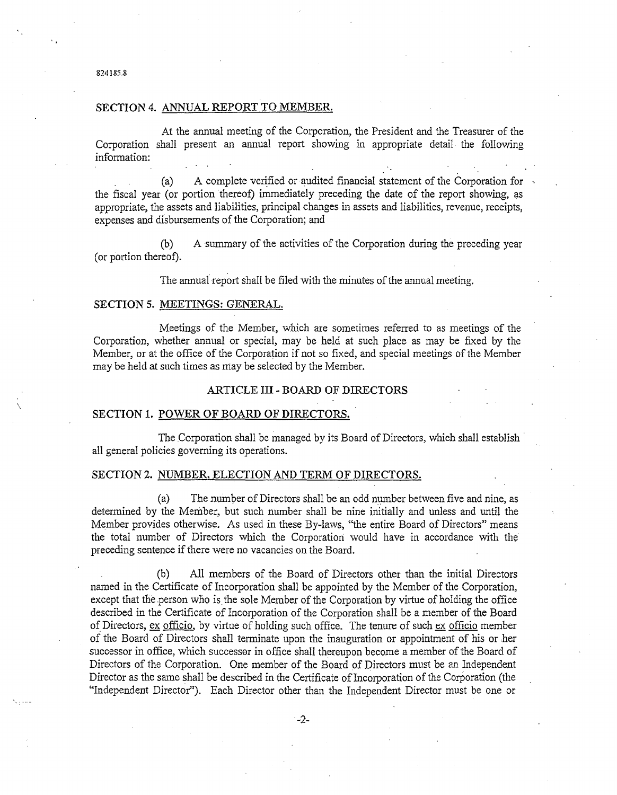# SECTION 4. ANNUAL REPORT TO MEMBER.

At the annual meeting of the Corporation, the President and the Treasurer of the Corporation shall present an annual report showing in appropriate detail the following information:

(a) A complete verified or audited financial statement of the Corporation for the fiscal year (or portion thereof) immediately preceding the date of the report showing, as appropriate, the assets and liabilities, principal changes in assets and liabilities, revenue, receipts, expenses and disbursements of the Corporation; and

(b) A summary of the activities of the Corporation during the preceding year (or portion thereof).

The annual report shall be filed with the minutes of the annual meeting.

## SECTION 5. MEETINGS: GENERAL.

Meetings of the Member, which are sometimes referred to as meetings of the Corporation, whether annual or special, may be held at such place as may be fixed by the Member, or at the office of the Corporation if not so fixed, and special meetings of the Member may be held at such times as may be selected by the Member.

### ARTICLE **III** - BOARD OF DIRECTORS

#### SECTION 1. POWER OF BOARD OF DIRECTORS.

The Corporation shall be managed by its Board of Directors, which shall establish· all general policies governing its operations.

## SECTION 2. NUMBER, ELECTION AND TERM OF DIRECTORS.

(a) The number of Directors shall be an odd number between five and nine, as determined by the Member, but such number shall be nine initially and unless and until the Member provides otherwise. As used in these By-laws, "the entire Board of Directors" means the total number of Directors which the Corporation would have in accordance with the preceding sentence if there were no vacancies on the Board.

(b) All members of the Board of Directors other than the initial Directors named in the Certificate of Incorporation shall be appointed by the Member of the Corporation, except that the person who is the sole Member of the Corporation by virtue of holding the office described in the Certificate of Incorporation of the Corporation shall be a member of the Board of Directors, ex officio, by virtue of holding such office. The tenure of such ex officio member of the Board of Directors shall terminate upon the inauguration or appointment of his or her successor in office, which successor in office shall thereupon become a member of the Board of Directors of the Corporation. One member of the Board of Directors must be an Independent Director as the same shall be described in the Certificate of Incorporation of the Corporation (the "Independent Director"). Each Director other than the Independent Director must be one or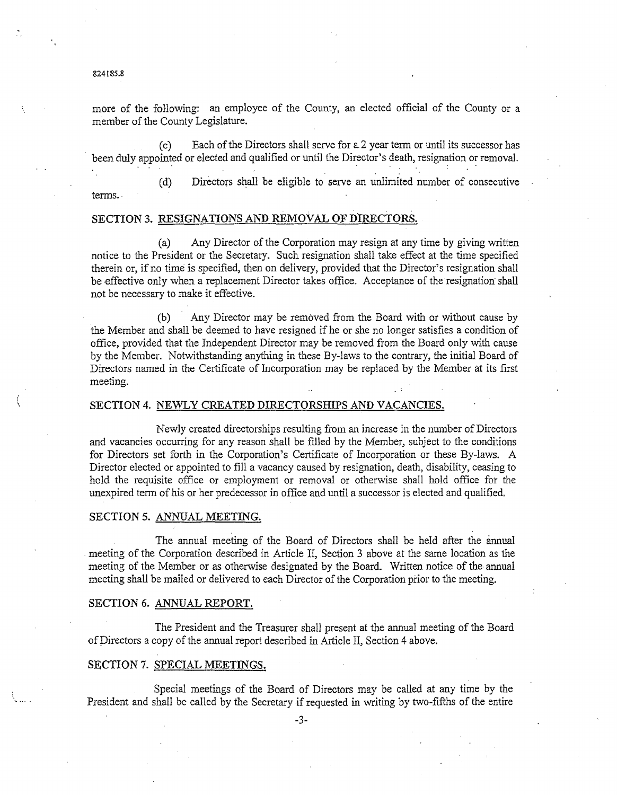more of the following: an employee of the County, an elected official of the County or a member of the County Legislature.

(c) Each of the Directors shall serve for a 2 year tenn or until its successor has been duly appointed or elected and qualified or until the Director's death, resignation or removal.<br>
(c) Each of the Directors shall serve for a 2 year term or until its successor has<br>
been duly appointed or elected and qu

(d) Directors shall" be eligible to serve an unlimited number of consecutive terms.

# SECTION 3. RESIGNATIONS AND REMOVAL OF DIRECTORS.

(a) Any Director of the Corporation may resign at any time by giving written notice to the President or the Secretary. Such resignation shall take effect at the time specified therein or, if no time is specified, then on delivery, provided that the Director's resignation shall be effective only when a replacement Director takes office. Acceptance of the resignation shall not be necessary to make it effective.

(b) Any Director may be removed from the Board with or without cause by the Member and shall be deemed to have resigned if he or she no longer satisfies a condition of office, provided that the Independent Director may be removed from the Board only with cause by the Member. Notwithstanding anything in these By-laws to the contrary, the initial Board of Directors named in the Certificate of Incorporation may be replaced by the Member at its first meeting.

## SECTION 4. NEWLY CREATED DIRECTORSHIPS AND VACANCIES.

Newly created directorships resulting from an increase in the number of Directors and vacancies occurring for any reason shall be filled by the Member, subject to the conditions for Directors set forth in the Corporation's Certificate of Incorporation or these By-laws. A Director elected or appointed to fill a vacancy caused by resignation, death, disability, ceasing to hold the requisite office or employment or removal or otherwise shall hold office for the unexpired tenn of his or her predecessor in office and until a successor is elected and qualified.

# SECTION 5. ANNUAL MEETING.

The annual meeting of the Board of Directors shall be held after the annual meeting of the Corporation described in Article II, Section 3 above at the same location as the meeting of the Member or as otherwise designated by the Board. Written notice of the annual meeting shall be mailed or delivered to each Director of the Corporation prior to the meeting.

#### SECTION 6. ANNUAL REPORT.

The President and the Treasurer shall present at the annual meeting of the Board of Directors a copy of the annual report described in Article II, Section 4 above.

## SECTION 7. SPECIAL MEETINGS.

Special meetings of the Board of Directors may be called at any time by the President and shall be called by the Secretary if requested in writing by two-fifths of the entire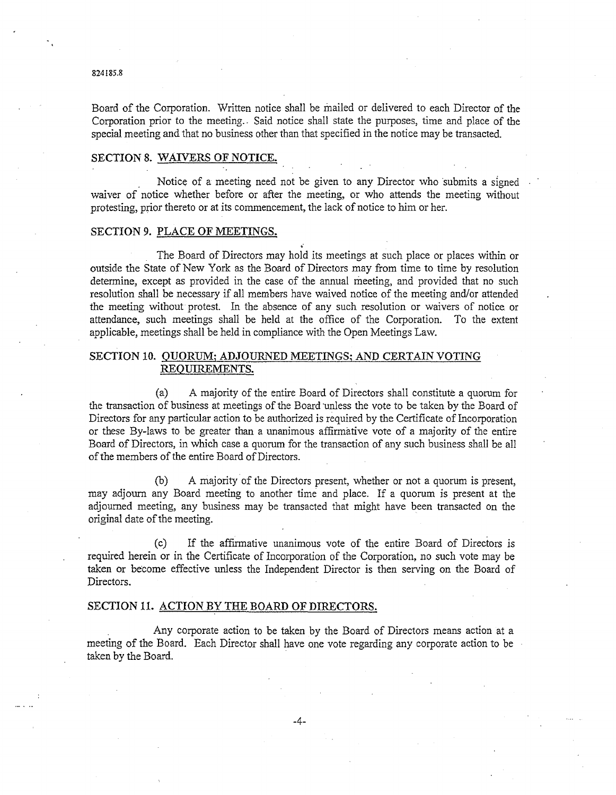Board of the Corporation. Written notice shall be mailed or delivered to each Director of the Corporation prior to the meeting.. Said notice shall state the purposes, time and place of the special meeting and that no business other than that specified in the notice may be transacted.

# SECTION 8. WAIVERS OF NOTICE.

Notice of a meeting need not be given to any Director who submits a signed waiver of notice whether before or after the meeting, or who attends the meeting without protesting, prior thereto or at its commencement, the lack of notice to him or her.

# SECTION 9. PLACE OF MEETINGS.

The Board of Directors may hold its meetings at such place or places within or outside the State of New York as the Board of Directors may from time to time by resolution determine, except as provided in the case of the annual meeting, and provided that no such resolution shall be necessary if all members have waived notice of the meeting and/or attended the meeting without protest. In the absence of any such resolution or waivers of notice. or attendance, such meetings shall be held at the office of the Corporation. To the extent applicable, meetings shall be held in compliance with the Open Meetings Law.

# SECTION 10. OUORUM; ADJOURNED MEETINGS; AND CERTAIN VOTING REQUIREMENTS.

(a) A majority of the entire Board of Directors shall constitute a quorum for the transaction of business at meetings of the Board unless the vote to be taken by the Board of Directors for any particular action to be authorized is required by the Certificate of Incorporation or these By-laws to be greater than a unanimous affirmative vote of a majority of the entire Board of Directors, in which case a quorum for the transaction of any such business shall be all of the members of the entire Board of Directors.

(b) A majority of the Directors present, whether or not a quorum is present, may adjourn any Board meeting to another time and place. If a quorum is present at the adjourned meeting, any business may be transacted that might have been transacted on the original date of the meeting.

(c) If the affIrmative unanimous vote of the entire Board of Directors is required herein or in the Certificate of Incorporation of the Corporation, no such vote may be taken or become effective unless the Independent Director is then serving on the Board of Directors.

## SECTION 11. ACTION BY THE BOARD OF DIRECTORS.

Any corporate action to be taken by the Board of Directors means action at a meeting of the Board. Each Director shall have one vote regarding any corporate action to be taken by the Board.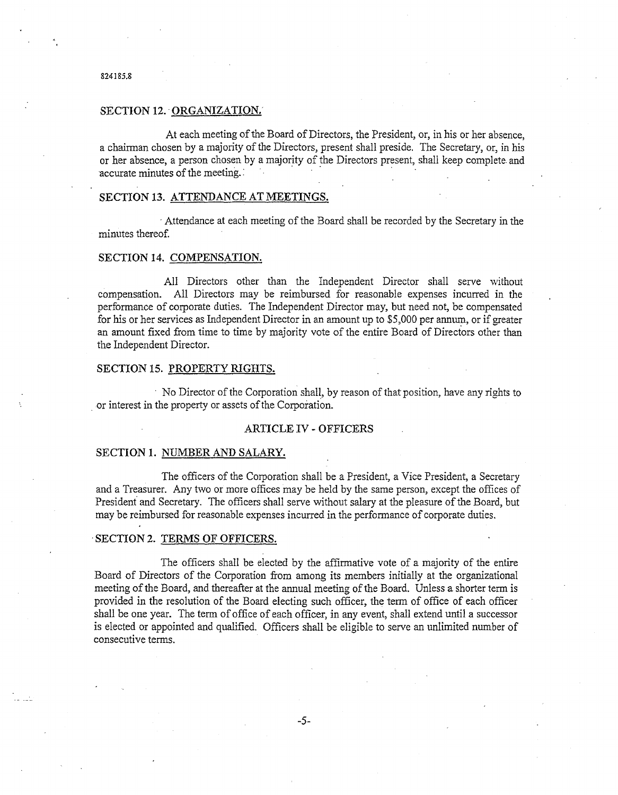### SECTION 12. ORGANIZATION.

At each meeting of the Board of Directors, the President, or, in his or her absence, a chairman chosen by a majority of the Directors, present shall preside. The Secretary, or, in his or her absence, a person chosen by a majority of the Directors present, shall keep complete and At each meeting of the Board of Directors, the President, or,<br>a chairman chosen by a majority of the Directors, present shall preside. The<br>or her absence, a person chosen by a majority of the Directors present, sha<br>accurat

# SECTION 13. ATTENDANCE AT MEETINGS.

. Attendance at each meeting of the Board shall be recorded by the Secretary in the minutes thereof.

### SECTION 14. COMPENSATION.

All Directors other than the Independent Director shall serve without compensation. All Directors may be reimbursed for reasonable expenses incurred in the performance of corporate duties. The Independent Director may, but need not, be compensated for his or her services as Independent Director in an amount up to \$5,000 per annum, or if greater an amount fixed from time to time by majority vote of the entire Board of Directors other than the Independent Director.

### SECTION 15. PROPERTY RIGHTS.

. No Director of the Corporation shall, by reason of that position, have any rights to .or interest in the property or assets of the Corporation.

### ARTICLE IV - OFFICERS

### SECTION 1. NUMBER AND SALARY.

The officers of the Corporation shall be a President, a Vice President, a Secretary and a Treasurer. Any two or more offices may be held by the same person, except the offices of President and Secretary. The officers shall serve without salary at the pleasure of the Board, but may be reimbursed for reasonable expenses incurred in the performance of corporate duties .

# . SECTION 2. TERMS OF OFFICERS.

The officers shall be elected by the affirmative vote of a majority of the entire Board of Directors of the Corporation from among its members initially at the organizational meeting of the Board, and thereafter at the annual meeting of the Board. Unless a shorter term is provided in the resolution of the Board electing such officer, the term of office of each officer shall be one year. The term of office of each officer, in any event, shall extend until a successor is elected or appointed and qualified. Officers shall be eligible to serve an unlimited number of consecutive terms.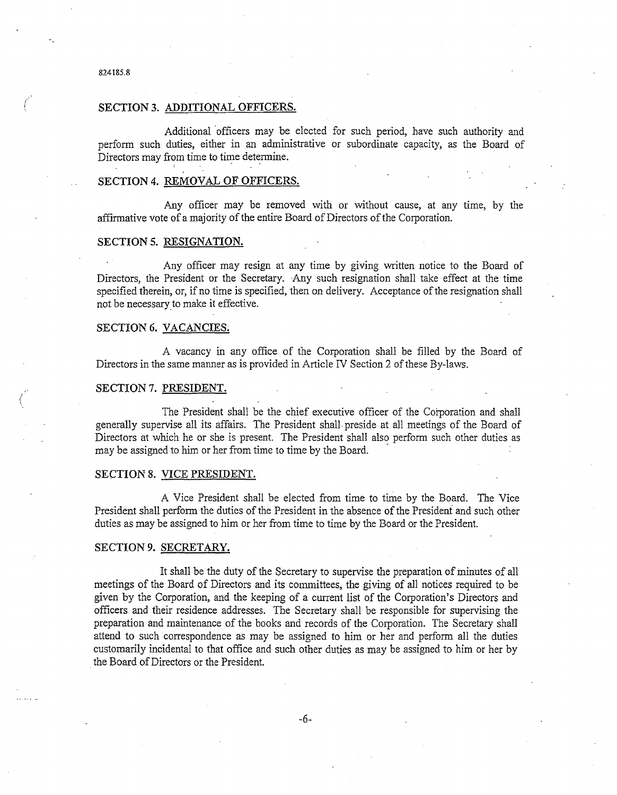$\left(\begin{array}{c} 1 \ 1 \end{array}\right)$ 

### SECTION 3. ADDITIONAL OFFICERS.

Additional 'officers may be elected for such period, have such authority and perform such duties, either in an administrative or subordinate capacity, as the Board of Directors may from time to time determine.

#### SECTION 4. REMOVAL OF OFFICERS.

Any officer may be removed with or without cause, at any time, by the affIrmative vote ofa majority of the entire Board of Directors of the Corporation.

### SECTION 5. RESIGNATION.

Any officer may resign at any time by giving written notice to the Board of Directors, the President or the Secretary. Any such resignation shall take effect at the time specified therein, or, if no time is specified, then on delivery. Acceptance of the resignation shall not be necessary to make it effective.

# SECTION 6. VACANCIES.

A vacancy in any office of the Corporation shall be filled by the Board of Directors in the same manner as is provided in Article IV Section 2 of these By-laws.

### SECTION 7. PRESIDENT.

The President shall be the chief executive officer of the Corporation and shall generally supervise all its affairs. The President shall· preside at all meetings of the Board of Directors at which he or she is present. The President shall also perform such other duties as may be assigned to him or her from time to time by the Board. .

### SECTION 8. VICE PRESIDENT.

A Vice President shall be elected from time to time by the Board. The Vice President shall perfonn the duties of the President in the absence of the President and such other duties as may be assigned to him or her from time to time by the Board or the President.

# SECTION 9. SECRETARY.

It shall be the duty of the Secretary to supervise the preparation of minutes of all meetings of the Board of Directors and its committees, the giving of all notices required to be given by the Corporation, and the keeping of a current list of the Corporation's Directors and offIcers and their residence addresses. The Secretary shall be responsible for supervising the preparation and maintenance of the books and records of the Corporation. The Secretary shall attend to such correspondence as may be assigned to him or her and perform all the duties customarily incidental to that office and such other duties as may be assigned to him or her by the Board of Directors or the President.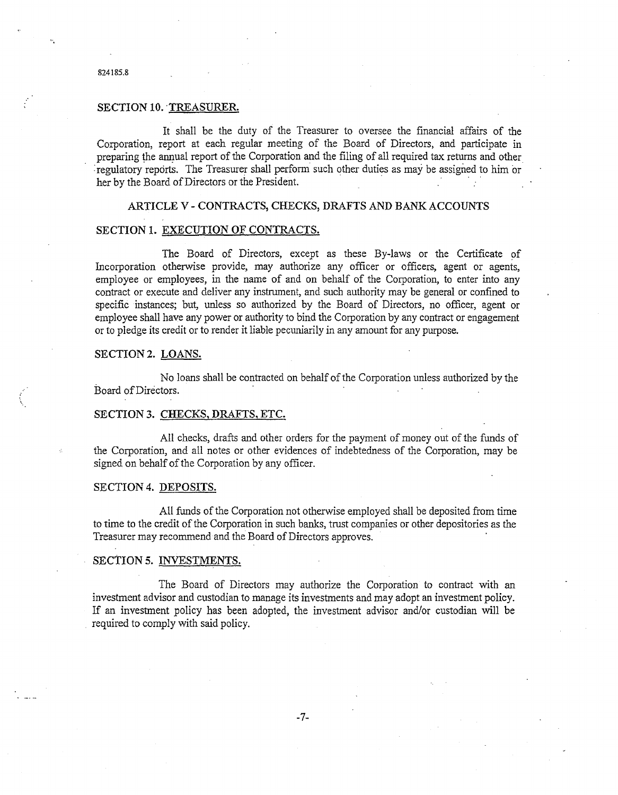# SECTION 10. TREASURER.

It shall be the duty of the Treasurer to oversee the financial affairs of the Corporation, report at each regular meeting of the Board of Directors, and participate in preparing the annual report of the Corporation and the filing of all required tax returns and other : regulatory reports. The Treasurer shall perform such other duties as may be assigned to him or her by the Board of Directors or the President.

# ARTICLE V - CONTRACTS, CHECKS, DRAFTS AND BANK ACCOUNTS

## SECTION 1. EXECUTION OF CONTRACTS.

The Board of Directors, except as these By-laws or the Certificate of Incorporation otherwise provide, may authorize any officer or officers, agent or agents, employee or employees, in the name of and on behalf of the Corporation, to enter into any contract or execute and deliver any instrument, and such authority may be general or confined to specific instances; but, unless so authorized by the Board of Directors, no officer, agent or employee shall have any power or authority to bind the Corporation by any contract or engagement or to pledge its credit or to render it liable pecuniarily in any amount for any purpose.

# SECTION 2. LOANS.

...

No loans shall be contracted on behalf of the Corporation unless authorized by the Board of Directors. .

# SECTION 3. CHECKS, DRAFTS, ETC.

All checks, drafts and other orders for the payment of money out of the funds of the Corporation, and all notes or other evidences of indebtedness of the Corporation, may be signed on behalf of the Corporation by any officer.

#### SECTION 4. DEPOSITS.

All funds of the Corporation not otherwise employed shall be deposited from time to time to the credit of the Corporation in such banks, trust companies or other depositories as the Treasurer may recommend and the Board of Directors approves. .

### SEctION 5. INVESTMENTS.

The Board of Directors may authorize the Corporation to contract with an investment advisor and custodian to manage its investments and may adopt an investment policy. If an investment policy has been adopted, the investment advisor and/or custodian will be required to comply with said policy.